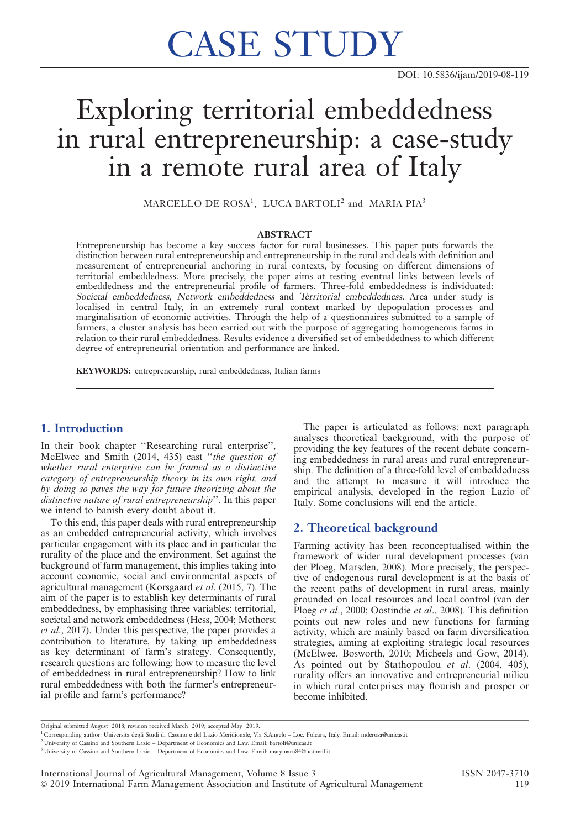# CASE STUDY

# Exploring territorial embeddedness in rural entrepreneurship: a case-study in a remote rural area of Italy

 $\rm {MARCELLO\ DE\ ROSA}^{1},\ LUCA\ BARTOLI^{2}$  and  $\rm {MARIA\ PIA}^{3}$ 

#### ABSTRACT

Entrepreneurship has become a key success factor for rural businesses. This paper puts forwards the distinction between rural entrepreneurship and entrepreneurship in the rural and deals with definition and measurement of entrepreneurial anchoring in rural contexts, by focusing on different dimensions of territorial embeddedness. More precisely, the paper aims at testing eventual links between levels of embeddedness and the entrepreneurial profile of farmers. Three-fold embeddedness is individuated: Societal embeddedness, Network embeddedness and Territorial embeddedness. Area under study is localised in central Italy, in an extremely rural context marked by depopulation processes and marginalisation of economic activities. Through the help of a questionnaires submitted to a sample of farmers, a cluster analysis has been carried out with the purpose of aggregating homogeneous farms in relation to their rural embeddedness. Results evidence a diversified set of embeddedness to which different degree of entrepreneurial orientation and performance are linked.

KEYWORDS: entrepreneurship, rural embeddedness, Italian farms

# 1. Introduction

In their book chapter ''Researching rural enterprise'', McElwee and Smith (2014, 435) cast ''the question of whether rural enterprise can be framed as a distinctive category of entrepreneurship theory in its own right, and by doing so paves the way for future theorizing about the distinctive nature of rural entrepreneurship''. In this paper we intend to banish every doubt about it.

To this end, this paper deals with rural entrepreneurship as an embedded entrepreneurial activity, which involves particular engagement with its place and in particular the rurality of the place and the environment. Set against the background of farm management, this implies taking into account economic, social and environmental aspects of agricultural management (Korsgaard et al. (2015, 7). The aim of the paper is to establish key determinants of rural embeddedness, by emphasising three variables: territorial, societal and network embeddedness (Hess, 2004; Methorst et al., 2017). Under this perspective, the paper provides a contribution to literature, by taking up embeddedness as key determinant of farm's strategy. Consequently, research questions are following: how to measure the level of embeddedness in rural entrepreneurship? How to link rural embeddedness with both the farmer's entrepreneurial profile and farm's performance?

The paper is articulated as follows: next paragraph analyses theoretical background, with the purpose of providing the key features of the recent debate concerning embeddedness in rural areas and rural entrepreneurship. The definition of a three-fold level of embeddedness and the attempt to measure it will introduce the empirical analysis, developed in the region Lazio of Italy. Some conclusions will end the article.

#### 2. Theoretical background

Farming activity has been reconceptualised within the framework of wider rural development processes (van der Ploeg, Marsden, 2008). More precisely, the perspective of endogenous rural development is at the basis of the recent paths of development in rural areas, mainly grounded on local resources and local control (van der Ploeg et al., 2000; Oostindie et al., 2008). This definition points out new roles and new functions for farming activity, which are mainly based on farm diversification strategies, aiming at exploiting strategic local resources (McElwee, Bosworth, 2010; Micheels and Gow, 2014). As pointed out by Stathopoulou et al. (2004, 405), rurality offers an innovative and entrepreneurial milieu in which rural enterprises may flourish and prosper or become inhibited.

Original submitted August 2018; revision received March 2019; accepted May 2019.

<sup>1</sup> Corresponding author: Universita degli Studi di Cassino e del Lazio Meridionale, Via S.Angelo – Loc. Folcara, Italy. Email: mderosa@unicas.it

<sup>&</sup>lt;sup>2</sup> University of Cassino and Southern Lazio – Department of Economics and Law. Email: bartoli@unicas.it

<sup>&</sup>lt;sup>3</sup> University of Cassino and Southern Lazio - Department of Economics and Law. Email: marymaru84@hotmail.it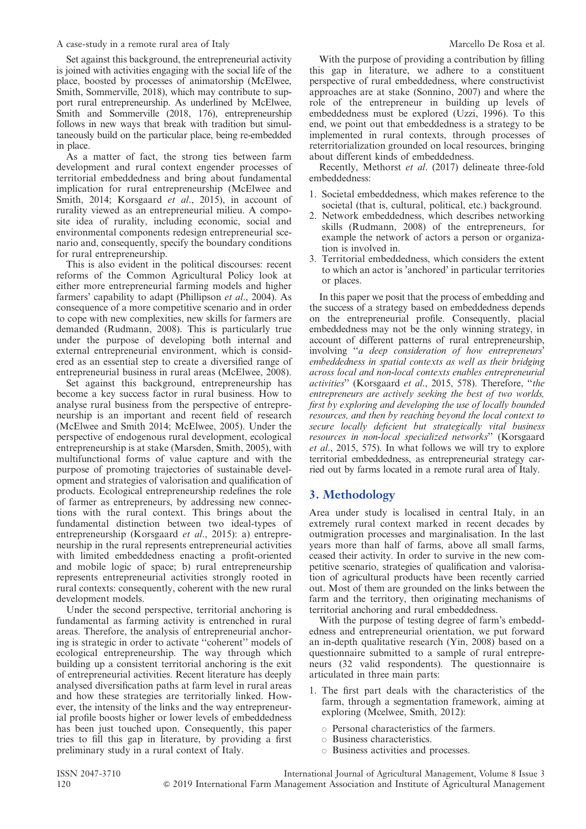#### A case-study in a remote rural area of Italy Marcello De Rosa et al.

Set against this background, the entrepreneurial activity is joined with activities engaging with the social life of the place, boosted by processes of animatorship (McElwee, Smith, Sommerville, 2018), which may contribute to support rural entrepreneurship. As underlined by McElwee, Smith and Sommerville (2018, 176), entrepreneurship follows in new ways that break with tradition but simultaneously build on the particular place, being re-embedded in place.

As a matter of fact, the strong ties between farm development and rural context engender processes of territorial embeddedness and bring about fundamental implication for rural entrepreneurship (McElwee and Smith, 2014; Korsgaard et al., 2015), in account of rurality viewed as an entrepreneurial milieu. A composite idea of rurality, including economic, social and environmental components redesign entrepreneurial scenario and, consequently, specify the boundary conditions for rural entrepreneurship.

This is also evident in the political discourses: recent reforms of the Common Agricultural Policy look at either more entrepreneurial farming models and higher farmers' capability to adapt (Phillipson et al., 2004). As consequence of a more competitive scenario and in order to cope with new complexities, new skills for farmers are demanded (Rudmann, 2008). This is particularly true under the purpose of developing both internal and external entrepreneurial environment, which is considered as an essential step to create a diversified range of entrepreneurial business in rural areas (McElwee, 2008).

Set against this background, entrepreneurship has become a key success factor in rural business. How to analyse rural business from the perspective of entrepreneurship is an important and recent field of research (McElwee and Smith 2014; McElwee, 2005). Under the perspective of endogenous rural development, ecological entrepreneurship is at stake (Marsden, Smith, 2005), with multifunctional forms of value capture and with the purpose of promoting trajectories of sustainable development and strategies of valorisation and qualification of products. Ecological entrepreneurship redefines the role of farmer as entrepreneurs, by addressing new connections with the rural context. This brings about the fundamental distinction between two ideal-types of entrepreneurship (Korsgaard et al., 2015): a) entrepreneurship in the rural represents entrepreneurial activities with limited embeddedness enacting a profit-oriented and mobile logic of space; b) rural entrepreneurship represents entrepreneurial activities strongly rooted in rural contexts: consequently, coherent with the new rural development models.

Under the second perspective, territorial anchoring is fundamental as farming activity is entrenched in rural areas. Therefore, the analysis of entrepreneurial anchoring is strategic in order to activate ''coherent'' models of ecological entrepreneurship. The way through which building up a consistent territorial anchoring is the exit of entrepreneurial activities. Recent literature has deeply analysed diversification paths at farm level in rural areas and how these strategies are territorially linked. However, the intensity of the links and the way entrepreneurial profile boosts higher or lower levels of embeddedness has been just touched upon. Consequently, this paper tries to fill this gap in literature, by providing a first preliminary study in a rural context of Italy.

With the purpose of providing a contribution by filling this gap in literature, we adhere to a constituent perspective of rural embeddedness, where constructivist approaches are at stake (Sonnino, 2007) and where the role of the entrepreneur in building up levels of embeddedness must be explored (Uzzi, 1996). To this end, we point out that embeddedness is a strategy to be implemented in rural contexts, through processes of reterritorialization grounded on local resources, bringing about different kinds of embeddedness.

Recently, Methorst et al. (2017) delineate three-fold embeddedness:

- 1. Societal embeddedness, which makes reference to the societal (that is, cultural, political, etc.) background.
- 2. Network embeddedness, which describes networking skills (Rudmann, 2008) of the entrepreneurs, for example the network of actors a person or organization is involved in.
- 3. Territorial embeddedness, which considers the extent to which an actor is 'anchored' in particular territories or places.

In this paper we posit that the process of embedding and the success of a strategy based on embeddedness depends on the entrepreneurial profile. Consequently, placial embeddedness may not be the only winning strategy, in account of different patterns of rural entrepreneurship, involving ''a deep consideration of how entrepreneurs' embeddedness in spatial contexts as well as their bridging across local and non-local contexts enables entrepreneurial activities'' (Korsgaard et al., 2015, 578). Therefore, ''the entrepreneurs are actively seeking the best of two worlds, first by exploring and developing the use of locally bounded resources, and then by reaching beyond the local context to secure locally deficient but strategically vital business resources in non-local specialized networks'' (Korsgaard et al., 2015, 575). In what follows we will try to explore territorial embeddedness, as entrepreneurial strategy carried out by farms located in a remote rural area of Italy.

# 3. Methodology

Area under study is localised in central Italy, in an extremely rural context marked in recent decades by outmigration processes and marginalisation. In the last years more than half of farms, above all small farms, ceased their activity. In order to survive in the new competitive scenario, strategies of qualification and valorisation of agricultural products have been recently carried out. Most of them are grounded on the links between the farm and the territory, then originating mechanisms of territorial anchoring and rural embeddedness.

With the purpose of testing degree of farm's embeddedness and entrepreneurial orientation, we put forward an in-depth qualitative research (Yin, 2008) based on a questionnaire submitted to a sample of rural entrepreneurs (32 valid respondents). The questionnaire is articulated in three main parts:

- 1. The first part deals with the characteristics of the farm, through a segmentation framework, aiming at exploring (Mcelwee, Smith, 2012):
	- $\circ$  Personal characteristics of the farmers.
	- $\circ$  Business characteristics.
	- $\circ$  Business activities and processes.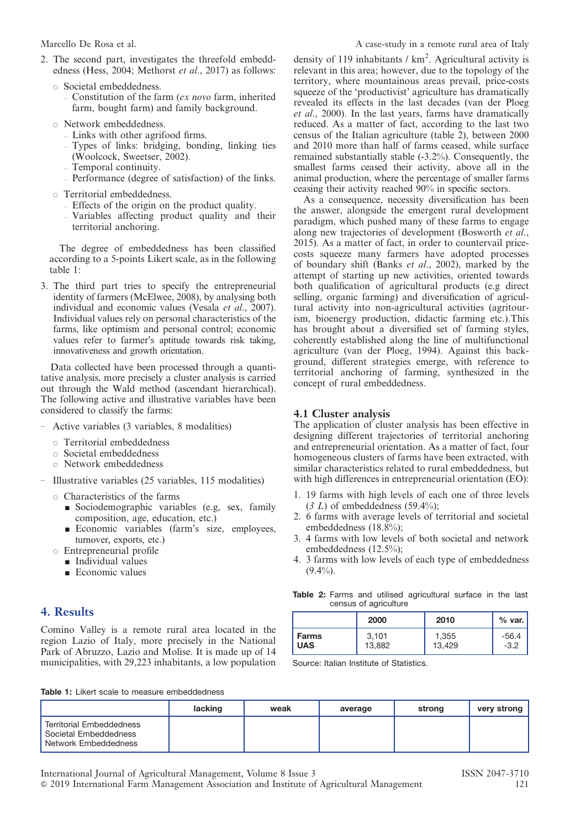- 2. The second part, investigates the threefold embeddedness (Hess, 2004; Methorst et al., 2017) as follows:
	- $\circ$  Societal embeddedness.
		- Constitution of the farm  $(ex novo farm, inherited$ farm, bought farm) and family background.
	- $\circ$  Network embeddedness.
		- Links with other agrifood firms.
		- Types of links: bridging, bonding, linking ties
		- (Woolcock, Sweetser, 2002).
		- Temporal continuity.
		- Performance (degree of satisfaction) of the links.
	- $\circ$  Territorial embeddedness.
		- Effects of the origin on the product quality.
		- Variables affecting product quality and their territorial anchoring.

The degree of embeddedness has been classified according to a 5-points Likert scale, as in the following table 1:

3. The third part tries to specify the entrepreneurial identity of farmers (McElwee, 2008), by analysing both individual and economic values (Vesala et al., 2007). Individual values rely on personal characteristics of the farms, like optimism and personal control; economic values refer to farmer's aptitude towards risk taking, innovativeness and growth orientation.

Data collected have been processed through a quantitative analysis, more precisely a cluster analysis is carried out through the Wald method (ascendant hierarchical). The following active and illustrative variables have been considered to classify the farms:

- Active variables (3 variables, 8 modalities)
	- $\circ$  Territorial embeddedness
	- $\circ$  Societal embeddedness
	- $\circ$  Network embeddedness
- Illustrative variables (25 variables, 115 modalities)
	- $\circ$  Characteristics of the farms
		- ' Sociodemographic variables (e.g, sex, family composition, age, education, etc.)
		- ' Economic variables (farm's size, employees, turnover, exports, etc.)
	- $\circ$  Entrepreneurial profile
		- **Individual values**
		- $\blacksquare$  Economic values

# 4. Results

Comino Valley is a remote rural area located in the region Lazio of Italy, more precisely in the National Park of Abruzzo, Lazio and Molise. It is made up of 14 municipalities, with 29,223 inhabitants, a low population

density of 119 inhabitants / km<sup>2</sup>. Agricultural activity is relevant in this area; however, due to the topology of the territory, where mountainous areas prevail, price-costs squeeze of the 'productivist' agriculture has dramatically revealed its effects in the last decades (van der Ploeg et al., 2000). In the last years, farms have dramatically reduced. As a matter of fact, according to the last two census of the Italian agriculture (table 2), between 2000 and 2010 more than half of farms ceased, while surface remained substantially stable (-3.2%). Consequently, the smallest farms ceased their activity, above all in the animal production, where the percentage of smaller farms ceasing their activity reached 90% in specific sectors.

As a consequence, necessity diversification has been the answer, alongside the emergent rural development paradigm, which pushed many of these farms to engage along new trajectories of development (Bosworth et al., 2015). As a matter of fact, in order to countervail pricecosts squeeze many farmers have adopted processes of boundary shift (Banks *et al.*, 2002), marked by the attempt of starting up new activities, oriented towards both qualification of agricultural products (e.g direct selling, organic farming) and diversification of agricultural activity into non-agricultural activities (agritourism, bioenergy production, didactic farming etc.).This has brought about a diversified set of farming styles, coherently established along the line of multifunctional agriculture (van der Ploeg, 1994). Against this background, different strategies emerge, with reference to territorial anchoring of farming, synthesized in the concept of rural embeddedness.

### 4.1 Cluster analysis

The application of cluster analysis has been effective in designing different trajectories of territorial anchoring and entrepreneurial orientation. As a matter of fact, four homogeneous clusters of farms have been extracted, with similar characteristics related to rural embeddedness, but with high differences in entrepreneurial orientation (EO):

- 1. 19 farms with high levels of each one of three levels  $(3 L)$  of embeddedness  $(59.4\%)$ :
- 2. 6 farms with average levels of territorial and societal embeddedness (18.8%);
- 3. 4 farms with low levels of both societal and network embeddedness (12.5%);
- 4. 3 farms with low levels of each type of embeddedness  $(9.4\%)$ .

Table 2: Farms and utilised agricultural surface in the last census of agriculture

|            | 2000   | 2010   | $%$ var. |
|------------|--------|--------|----------|
| Farms      | 3.101  | 1,355  | $-56.4$  |
| <b>UAS</b> | 13,882 | 13.429 | $-3.2$   |

Source: Italian Institute of Statistics.

Table 1: Likert scale to measure embeddedness

|                                                                                  | lacking | weak | average | strong | very strong |
|----------------------------------------------------------------------------------|---------|------|---------|--------|-------------|
| <b>Territorial Embeddedness</b><br>Societal Embeddedness<br>Network Embeddedness |         |      |         |        |             |

& 2019 International Farm Management Association and Institute of Agricultural Management 121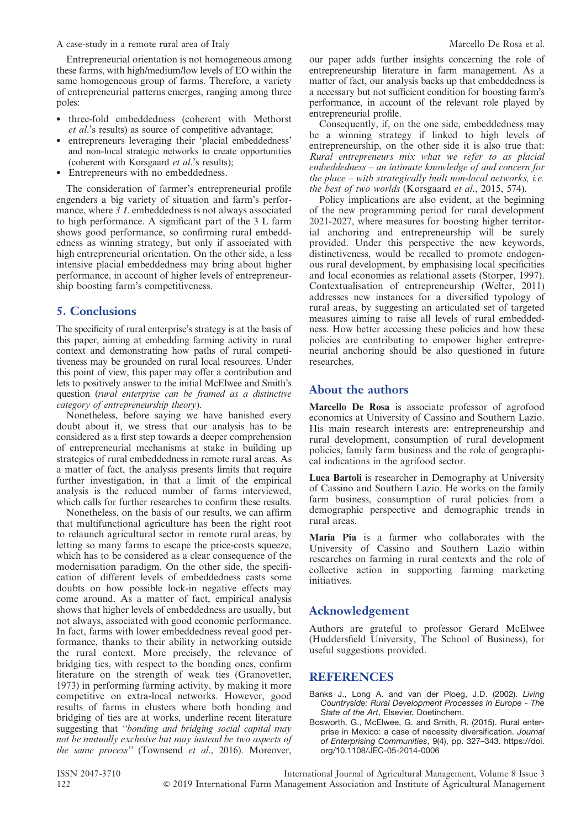A case-study in a remote rural area of Italy Marcello De Rosa et al.

Entrepreneurial orientation is not homogeneous among these farms, with high/medium/low levels of EO within the same homogeneous group of farms. Therefore, a variety of entrepreneurial patterns emerges, ranging among three poles:

- three-fold embeddedness (coherent with Methorst et al.'s results) as source of competitive advantage;
- entrepreneurs leveraging their 'placial embeddedness' and non-local strategic networks to create opportunities (coherent with Korsgaard et al.'s results);
- Entrepreneurs with no embeddedness.

The consideration of farmer's entrepreneurial profile engenders a big variety of situation and farm's performance, where  $3 L$  embeddedness is not always associated to high performance. A significant part of the 3 L farm shows good performance, so confirming rural embeddedness as winning strategy, but only if associated with high entrepreneurial orientation. On the other side, a less intensive placial embeddedness may bring about higher performance, in account of higher levels of entrepreneurship boosting farm's competitiveness.

# 5. Conclusions

The specificity of rural enterprise's strategy is at the basis of this paper, aiming at embedding farming activity in rural context and demonstrating how paths of rural competitiveness may be grounded on rural local resources. Under this point of view, this paper may offer a contribution and lets to positively answer to the initial McElwee and Smith's question (rural enterprise can be framed as a distinctive category of entrepreneurship theory).

Nonetheless, before saying we have banished every doubt about it, we stress that our analysis has to be considered as a first step towards a deeper comprehension of entrepreneurial mechanisms at stake in building up strategies of rural embeddedness in remote rural areas. As a matter of fact, the analysis presents limits that require further investigation, in that a limit of the empirical analysis is the reduced number of farms interviewed, which calls for further researches to confirm these results.

Nonetheless, on the basis of our results, we can affirm that multifunctional agriculture has been the right root to relaunch agricultural sector in remote rural areas, by letting so many farms to escape the price-costs squeeze, which has to be considered as a clear consequence of the modernisation paradigm. On the other side, the specification of different levels of embeddedness casts some doubts on how possible lock-in negative effects may come around. As a matter of fact, empirical analysis shows that higher levels of embeddedness are usually, but not always, associated with good economic performance. In fact, farms with lower embeddedness reveal good performance, thanks to their ability in networking outside the rural context. More precisely, the relevance of bridging ties, with respect to the bonding ones, confirm literature on the strength of weak ties (Granovetter, 1973) in performing farming activity, by making it more competitive on extra-local networks. However, good results of farms in clusters where both bonding and bridging of ties are at works, underline recent literature suggesting that "bonding and bridging social capital may not be mutually exclusive but may instead be two aspects of the same process" (Townsend et al., 2016). Moreover,

our paper adds further insights concerning the role of entrepreneurship literature in farm management. As a matter of fact, our analysis backs up that embeddedness is a necessary but not sufficient condition for boosting farm's performance, in account of the relevant role played by entrepreneurial profile.

Consequently, if, on the one side, embeddedness may be a winning strategy if linked to high levels of entrepreneurship, on the other side it is also true that: Rural entrepreneurs mix what we refer to as placial embeddedness – an intimate knowledge of and concern for the place – with strategically built non-local networks, i.e. the best of two worlds (Korsgaard et al., 2015, 574).

Policy implications are also evident, at the beginning of the new programming period for rural development 2021-2027, where measures for boosting higher territorial anchoring and entrepreneurship will be surely provided. Under this perspective the new keywords, distinctiveness, would be recalled to promote endogenous rural development, by emphasising local specificities and local economies as relational assets (Storper, 1997). Contextualisation of entrepreneurship (Welter, 2011) addresses new instances for a diversified typology of rural areas, by suggesting an articulated set of targeted measures aiming to raise all levels of rural embeddedness. How better accessing these policies and how these policies are contributing to empower higher entrepreneurial anchoring should be also questioned in future researches.

# About the authors

Marcello De Rosa is associate professor of agrofood economics at University of Cassino and Southern Lazio. His main research interests are: entrepreneurship and rural development, consumption of rural development policies, family farm business and the role of geographical indications in the agrifood sector.

Luca Bartoli is researcher in Demography at University of Cassino and Southern Lazio. He works on the family farm business, consumption of rural policies from a demographic perspective and demographic trends in rural areas.

Maria Pia is a farmer who collaborates with the University of Cassino and Southern Lazio within researches on farming in rural contexts and the role of collective action in supporting farming marketing initiatives.

# Acknowledgement

Authors are grateful to professor Gerard McElwee (Huddersfield University, The School of Business), for useful suggestions provided.

# REFERENCES

- Banks J., Long A. and van der Ploeg, J.D. (2002). Living Countryside: Rural Development Processes in Europe - The State of the Art, Elsevier, Doetinchem.
- Bosworth, G., McElwee, G. and Smith, R. (2015). Rural enterprise in Mexico: a case of necessity diversification. Journal of Enterprising Communities, 9(4), pp. 327–343. https://doi. org/10.1108/JEC-05-2014-0006